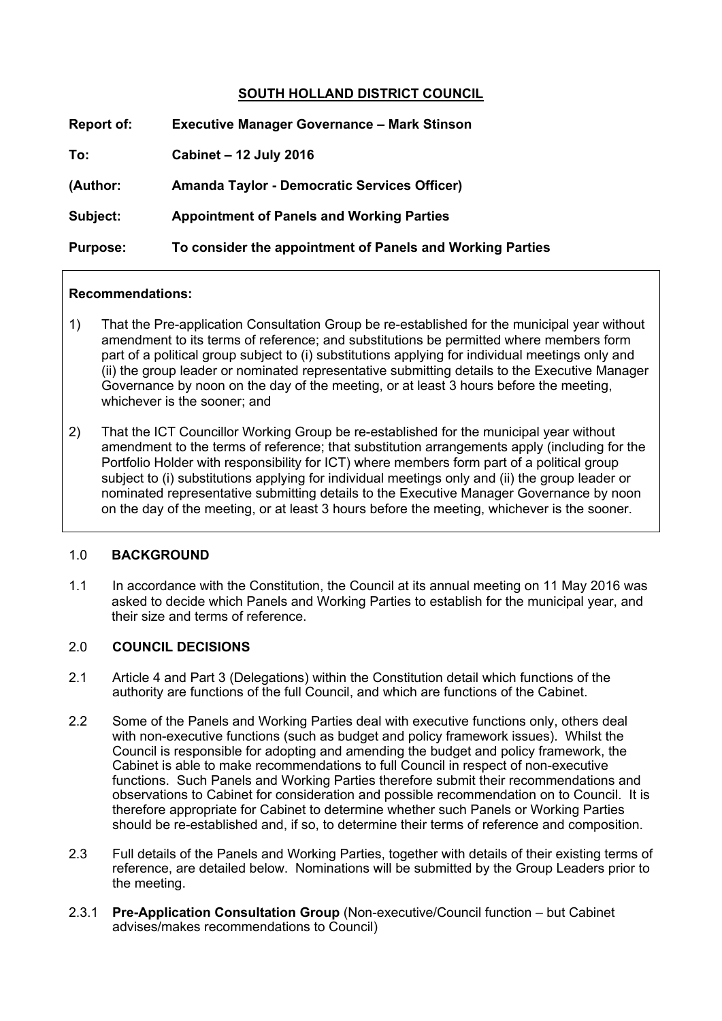# **SOUTH HOLLAND DISTRICT COUNCIL**

| <b>Report of:</b> | <b>Executive Manager Governance - Mark Stinson</b>        |
|-------------------|-----------------------------------------------------------|
| To:               | Cabinet - 12 July 2016                                    |
| (Author:          | <b>Amanda Taylor - Democratic Services Officer)</b>       |
| Subject:          | <b>Appointment of Panels and Working Parties</b>          |
| <b>Purpose:</b>   | To consider the appointment of Panels and Working Parties |

#### **Recommendations:**

- 1) That the Pre-application Consultation Group be re-established for the municipal year without amendment to its terms of reference; and substitutions be permitted where members form part of a political group subject to (i) substitutions applying for individual meetings only and (ii) the group leader or nominated representative submitting details to the Executive Manager Governance by noon on the day of the meeting, or at least 3 hours before the meeting, whichever is the sooner; and
- 2) That the ICT Councillor Working Group be re-established for the municipal year without amendment to the terms of reference; that substitution arrangements apply (including for the Portfolio Holder with responsibility for ICT) where members form part of a political group subject to (i) substitutions applying for individual meetings only and (ii) the group leader or nominated representative submitting details to the Executive Manager Governance by noon on the day of the meeting, or at least 3 hours before the meeting, whichever is the sooner.

#### 1.0 **BACKGROUND**

1.1 In accordance with the Constitution, the Council at its annual meeting on 11 May 2016 was asked to decide which Panels and Working Parties to establish for the municipal year, and their size and terms of reference.

# 2.0 **COUNCIL DECISIONS**

- 2.1 Article 4 and Part 3 (Delegations) within the Constitution detail which functions of the authority are functions of the full Council, and which are functions of the Cabinet.
- 2.2 Some of the Panels and Working Parties deal with executive functions only, others deal with non-executive functions (such as budget and policy framework issues). Whilst the Council is responsible for adopting and amending the budget and policy framework, the Cabinet is able to make recommendations to full Council in respect of non-executive functions. Such Panels and Working Parties therefore submit their recommendations and observations to Cabinet for consideration and possible recommendation on to Council. It is therefore appropriate for Cabinet to determine whether such Panels or Working Parties should be re-established and, if so, to determine their terms of reference and composition.
- 2.3 Full details of the Panels and Working Parties, together with details of their existing terms of reference, are detailed below. Nominations will be submitted by the Group Leaders prior to the meeting.
- 2.3.1 **Pre-Application Consultation Group** (Non-executive/Council function but Cabinet advises/makes recommendations to Council)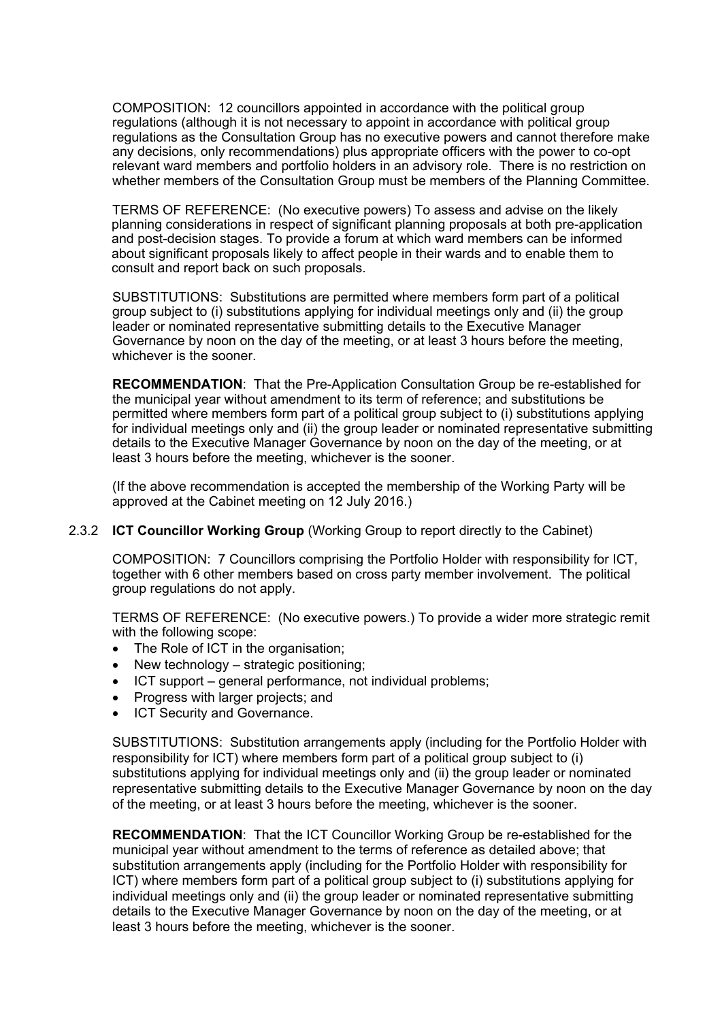COMPOSITION: 12 councillors appointed in accordance with the political group regulations (although it is not necessary to appoint in accordance with political group regulations as the Consultation Group has no executive powers and cannot therefore make any decisions, only recommendations) plus appropriate officers with the power to co-opt relevant ward members and portfolio holders in an advisory role. There is no restriction on whether members of the Consultation Group must be members of the Planning Committee.

TERMS OF REFERENCE: (No executive powers) To assess and advise on the likely planning considerations in respect of significant planning proposals at both pre-application and post-decision stages. To provide a forum at which ward members can be informed about significant proposals likely to affect people in their wards and to enable them to consult and report back on such proposals.

SUBSTITUTIONS: Substitutions are permitted where members form part of a political group subject to (i) substitutions applying for individual meetings only and (ii) the group leader or nominated representative submitting details to the Executive Manager Governance by noon on the day of the meeting, or at least 3 hours before the meeting, whichever is the sooner.

**RECOMMENDATION**: That the Pre-Application Consultation Group be re-established for the municipal year without amendment to its term of reference; and substitutions be permitted where members form part of a political group subject to (i) substitutions applying for individual meetings only and (ii) the group leader or nominated representative submitting details to the Executive Manager Governance by noon on the day of the meeting, or at least 3 hours before the meeting, whichever is the sooner.

(If the above recommendation is accepted the membership of the Working Party will be approved at the Cabinet meeting on 12 July 2016.)

#### 2.3.2 **ICT Councillor Working Group** (Working Group to report directly to the Cabinet)

COMPOSITION: 7 Councillors comprising the Portfolio Holder with responsibility for ICT, together with 6 other members based on cross party member involvement. The political group regulations do not apply.

TERMS OF REFERENCE: (No executive powers.) To provide a wider more strategic remit with the following scope:

- The Role of ICT in the organisation:
- New technology strategic positioning;
- ICT support general performance, not individual problems;
- Progress with larger projects; and
- ICT Security and Governance.

SUBSTITUTIONS: Substitution arrangements apply (including for the Portfolio Holder with responsibility for ICT) where members form part of a political group subject to (i) substitutions applying for individual meetings only and (ii) the group leader or nominated representative submitting details to the Executive Manager Governance by noon on the day of the meeting, or at least 3 hours before the meeting, whichever is the sooner.

**RECOMMENDATION**: That the ICT Councillor Working Group be re-established for the municipal year without amendment to the terms of reference as detailed above; that substitution arrangements apply (including for the Portfolio Holder with responsibility for ICT) where members form part of a political group subject to (i) substitutions applying for individual meetings only and (ii) the group leader or nominated representative submitting details to the Executive Manager Governance by noon on the day of the meeting, or at least 3 hours before the meeting, whichever is the sooner.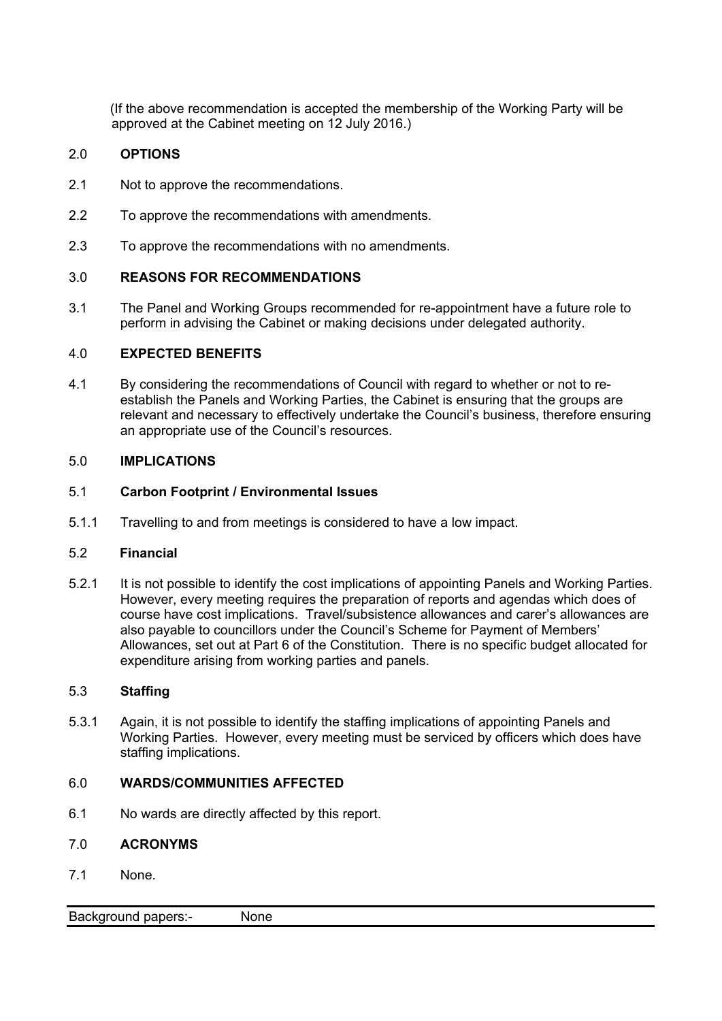(If the above recommendation is accepted the membership of the Working Party will be approved at the Cabinet meeting on 12 July 2016.)

# 2.0 **OPTIONS**

- 2.1 Not to approve the recommendations.
- 2.2 To approve the recommendations with amendments.
- 2.3 To approve the recommendations with no amendments.

# 3.0 **REASONS FOR RECOMMENDATIONS**

3.1 The Panel and Working Groups recommended for re-appointment have a future role to perform in advising the Cabinet or making decisions under delegated authority.

# 4.0 **EXPECTED BENEFITS**

4.1 By considering the recommendations of Council with regard to whether or not to reestablish the Panels and Working Parties, the Cabinet is ensuring that the groups are relevant and necessary to effectively undertake the Council's business, therefore ensuring an appropriate use of the Council's resources.

#### 5.0 **IMPLICATIONS**

#### 5.1 **Carbon Footprint / Environmental Issues**

5.1.1 Travelling to and from meetings is considered to have a low impact.

# 5.2 **Financial**

5.2.1 It is not possible to identify the cost implications of appointing Panels and Working Parties. However, every meeting requires the preparation of reports and agendas which does of course have cost implications. Travel/subsistence allowances and carer's allowances are also payable to councillors under the Council's Scheme for Payment of Members' Allowances, set out at Part 6 of the Constitution. There is no specific budget allocated for expenditure arising from working parties and panels.

#### 5.3 **Staffing**

5.3.1 Again, it is not possible to identify the staffing implications of appointing Panels and Working Parties. However, every meeting must be serviced by officers which does have staffing implications.

# 6.0 **WARDS/COMMUNITIES AFFECTED**

6.1 No wards are directly affected by this report.

# 7.0 **ACRONYMS**

7.1 None.